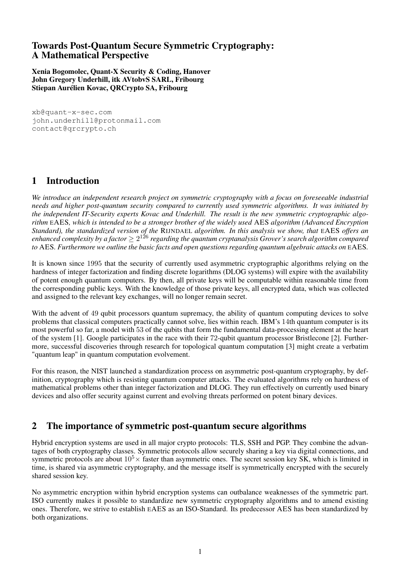# Towards Post-Quantum Secure Symmetric Cryptography: A Mathematical Perspective

Xenia Bogomolec, Quant-X Security & Coding, Hanover John Gregory Underhill, itk AVtobvS SARL, Fribourg Stiepan Aurélien Kovac, QRCrypto SA, Fribourg

[xb@quant-x-sec.com](mailto:xb@quant-x-sec.com) [john.underhill@protonmail.com](mailto:john.underhill@protonmail.com) [contact@qrcrypto.ch](mailto:contact@qrcrypto.ch)

# 1 Introduction

*We introduce an independent research project on symmetric cryptography with a focus on foreseeable industrial needs and higher post-quantum security compared to currently used symmetric algorithms. It was initiated by the independent IT-Security experts Kovac and Underhill. The result is the new symmetric cryptographic algorithm* EAES*, which is intended to be a stronger brother of the widely used* AES *algorithm (Advanced Encryption Standard), the standardized version of the* RIJNDAEL *algorithm. In this analysis we show, that* EAES *offers an* enhanced complexity by a factor  $\geq 2^{126}$  regarding the quantum cryptanalysis Grover's search algorithm compared *to* AES*. Furthermore we outline the basic facts and open questions regarding quantum algebraic attacks on* EAES*.*

It is known since 1995 that the security of currently used asymmetric cryptographic algorithms relying on the hardness of integer factorization and finding discrete logarithms (DLOG systems) will expire with the availability of potent enough quantum computers. By then, all private keys will be computable within reasonable time from the corresponding public keys. With the knowledge of those private keys, all encrypted data, which was collected and assigned to the relevant key exchanges, will no longer remain secret.

With the advent of 49 qubit processors quantum supremacy, the ability of quantum computing devices to solve problems that classical computers practically cannot solve, lies within reach. IBM's 14th quantum computer is its most powerful so far, a model with 53 of the qubits that form the fundamental data-processing element at the heart of the system [\[1\]](#page-10-0). Google participates in the race with their 72-qubit quantum processor Bristlecone [\[2\]](#page-10-1). Furthermore, successful discoveries through research for topological quantum computation [\[3\]](#page-10-2) might create a verbatim "quantum leap" in quantum computation evolvement.

For this reason, the NIST launched a standardization process on asymmetric post-quantum cryptography, by definition, cryptography which is resisting quantum computer attacks. The evaluated algorithms rely on hardness of mathematical problems other than integer factorization and DLOG. They run effectively on currently used binary devices and also offer security against current and evolving threats performed on potent binary devices.

# 2 The importance of symmetric post-quantum secure algorithms

Hybrid encryption systems are used in all major crypto protocols: TLS, SSH and PGP. They combine the advantages of both cryptography classes. Symmetric protocols allow securely sharing a key via digital connections, and symmetric protocols are about  $10^5 \times$  faster than asymmetric ones. The secret session key SK, which is limited in time, is shared via asymmetric cryptography, and the message itself is symmetrically encrypted with the securely shared session key.

No asymmetric encryption within hybrid encryption systems can outbalance weaknesses of the symmetric part. ISO currently makes it possible to standardize new symmetric cryptography algorithms and to amend existing ones. Therefore, we strive to establish EAES as an ISO-Standard. Its predecessor AES has been standardized by both organizations.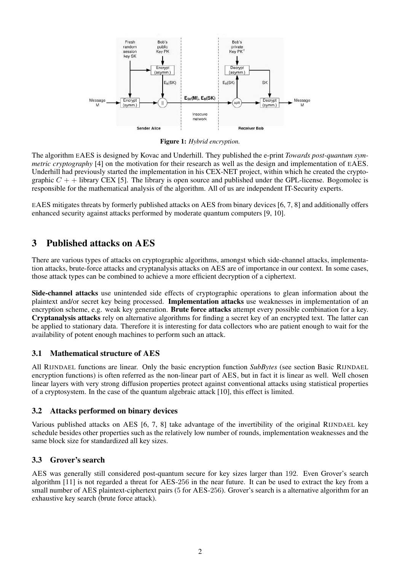

Figure 1: *Hybrid encryption.*

The algorithm EAES is designed by Kovac and Underhill. They published the e-print *Towards post-quantum symmetric cryptography* [\[4\]](#page-10-3) on the motivation for their research as well as the design and implementation of EAES. Underhill had previously started the implementation in his CEX-NET project, within which he created the cryptographic  $C +$  + library CEX [\[5\]](#page-10-4). The library is open source and published under the GPL-license. Bogomolec is responsible for the mathematical analysis of the algorithm. All of us are independent IT-Security experts.

EAES mitigates threats by formerly published attacks on AES from binary devices [\[6,](#page-10-5) [7,](#page-10-6) [8\]](#page-10-7) and additionally offers enhanced security against attacks performed by moderate quantum computers [\[9,](#page-10-8) [10\]](#page-10-9).

# 3 Published attacks on AES

There are various types of attacks on cryptographic algorithms, amongst which side-channel attacks, implementation attacks, brute-force attacks and cryptanalysis attacks on AES are of importance in our context. In some cases, those attack types can be combined to achieve a more efficient decryption of a ciphertext.

Side-channel attacks use unintended side effects of cryptographic operations to glean information about the plaintext and/or secret key being processed. Implementation attacks use weaknesses in implementation of an encryption scheme, e.g. weak key generation. **Brute force attacks** attempt every possible combination for a key. Cryptanalysis attacks rely on alternative algorithms for finding a secret key of an encrypted text. The latter can be applied to stationary data. Therefore it is interesting for data collectors who are patient enough to wait for the availability of potent enough machines to perform such an attack.

# 3.1 Mathematical structure of AES

All RIJNDAEL functions are linear. Only the basic encryption function *SubBytes* (see section Basic RIJNDAEL encryption functions) is often referred as the non-linear part of AES, but in fact it is linear as well. Well chosen linear layers with very strong diffusion properties protect against conventional attacks using statistical properties of a cryptosystem. In the case of the quantum algebraic attack [\[10\]](#page-10-9), this effect is limited.

## 3.2 Attacks performed on binary devices

Various published attacks on AES [\[6,](#page-10-5) [7,](#page-10-6) [8\]](#page-10-7) take advantage of the invertibility of the original RIJNDAEL key schedule besides other properties such as the relatively low number of rounds, implementation weaknesses and the same block size for standardized all key sizes.

## 3.3 Grover's search

AES was generally still considered post-quantum secure for key sizes larger than 192. Even Grover's search algorithm [\[11\]](#page-10-10) is not regarded a threat for AES-256 in the near future. It can be used to extract the key from a small number of AES plaintext-ciphertext pairs (5 for AES-256). Grover's search is a alternative algorithm for an exhaustive key search (brute force attack).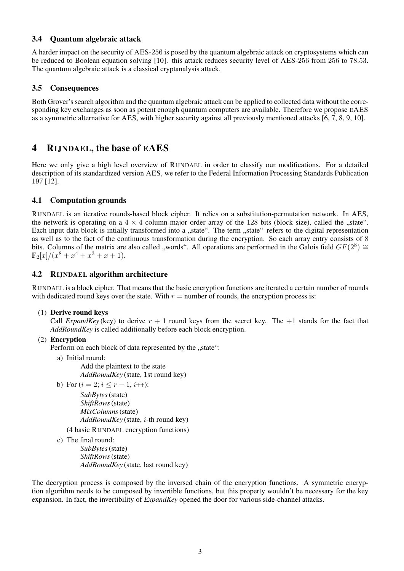### 3.4 Quantum algebraic attack

A harder impact on the security of AES-256 is posed by the quantum algebraic attack on cryptosystems which can be reduced to Boolean equation solving [\[10\]](#page-10-9). this attack reduces security level of AES-256 from 256 to 78.53. The quantum algebraic attack is a classical cryptanalysis attack.

# 3.5 Consequences

Both Grover's search algorithm and the quantum algebraic attack can be applied to collected data without the corresponding key exchanges as soon as potent enough quantum computers are available. Therefore we propose EAES as a symmetric alternative for AES, with higher security against all previously mentioned attacks [\[6,](#page-10-5) [7,](#page-10-6) [8,](#page-10-7) [9,](#page-10-8) [10\]](#page-10-9).

# 4 RIJNDAEL, the base of EAES

Here we only give a high level overview of RIJNDAEL in order to classify our modifications. For a detailed description of its standardized version AES, we refer to the Federal Information Processing Standards Publication 197 [\[12\]](#page-10-11).

# 4.1 Computation grounds

RIJNDAEL is an iterative rounds-based block cipher. It relies on a substitution-permutation network. In AES, the network is operating on a  $4 \times 4$  column-major order array of the 128 bits (block size), called the "state". Each input data block is intially transformed into a "state". The term "state" refers to the digital representation as well as to the fact of the continuous transformation during the encryption. So each array entry consists of 8 bits. Columns of the matrix are also called "words". All operations are performed in the Galois field  $GF(2^8) \cong$  $\mathbb{F}_2[x]/(x^8 + x^4 + x^3 + x + 1).$ 

# 4.2 RIJNDAEL algorithm architecture

RIJNDAEL is a block cipher. That means that the basic encryption functions are iterated a certain number of rounds with dedicated round keys over the state. With  $r =$  number of rounds, the encryption process is:

### (1) Derive round keys

Call *ExpandKey* (key) to derive  $r + 1$  round keys from the secret key. The  $+1$  stands for the fact that *AddRoundKey* is called additionally before each block encryption.

## (2) Encryption

Perform on each block of data represented by the "state":

- a) Initial round:
	- Add the plaintext to the state *AddRoundKey* (state, 1st round key)
- b) For  $(i = 2; i \leq r 1, i++)$ : *SubBytes*(state)

*ShiftRows*(state) *MixColumns*(state) *AddRoundKey* (state, i-th round key)

(4 basic RIJNDAEL encryption functions)

```
c) The final round:
```
*SubBytes*(state) *ShiftRows*(state) *AddRoundKey* (state, last round key)

The decryption process is composed by the inversed chain of the encryption functions. A symmetric encryption algorithm needs to be composed by invertible functions, but this property wouldn't be necessary for the key expansion. In fact, the invertibility of *ExpandKey* opened the door for various side-channel attacks.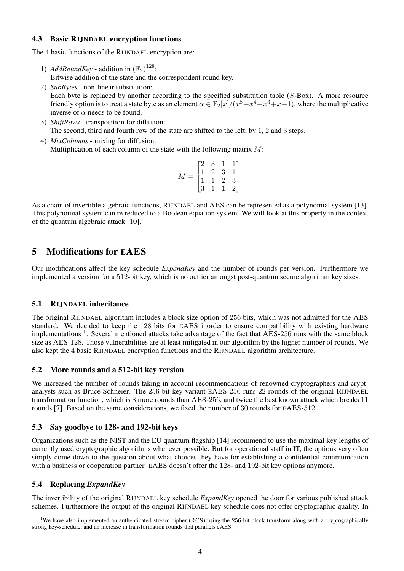### 4.3 Basic RIJNDAEL encryption functions

The 4 basic functions of the RIJNDAEL encryption are:

- 1) *AddRoundKey* addition in  $(\mathbb{F}_2)^{128}$ : Bitwise addition of the state and the correspondent round key.
- 2) *SubBytes* non-linear substitution: Each byte is replaced by another according to the specified substitution table (S-Box). A more resource friendly option is to treat a state byte as an element  $\alpha \in \mathbb{F}_2[x]/(x^8 + x^4 + x^3 + x + 1)$ , where the multiplicative inverse of  $\alpha$  needs to be found.
- 3) *ShiftRows* transposition for diffusion: The second, third and fourth row of the state are shifted to the left, by 1, 2 and 3 steps.
- 4) *MixColumns* mixing for diffusion: Multiplication of each column of the state with the following matrix  $M$ :

|                       | $\lceil 2 \rceil$ |                                                                    |               |                                                  |
|-----------------------|-------------------|--------------------------------------------------------------------|---------------|--------------------------------------------------|
| $=$<br>$\overline{M}$ |                   |                                                                    | $\frac{1}{3}$ |                                                  |
|                       |                   | $\begin{array}{ccc} -2 & 3 \\ 1 & 2 \\ 1 & 1 \\ 3 & 1 \end{array}$ | $\frac{2}{1}$ | $\begin{bmatrix} 1 \\ 1 \\ 3 \\ 2 \end{bmatrix}$ |
|                       | 3                 |                                                                    |               |                                                  |

As a chain of invertible algebraic functions, RIJNDAEL and AES can be represented as a polynomial system [\[13\]](#page-10-12). This polynomial system can re reduced to a Boolean equation system. We will look at this property in the context of the quantum algebraic attack [\[10\]](#page-10-9).

# 5 Modifications for EAES

Our modifications affect the key schedule *ExpandKey* and the number of rounds per version. Furthermore we implemented a version for a 512-bit key, which is no outlier amongst post-quantum secure algorithm key sizes.

## 5.1 RIJNDAEL inheritance

The original RIJNDAEL algorithm includes a block size option of 256 bits, which was not admitted for the AES standard. We decided to keep the 128 bits for EAES inorder to ensure compatibility with existing hardware implementations  $<sup>1</sup>$  $<sup>1</sup>$  $<sup>1</sup>$ . Several mentioned attacks take advantage of the fact that AES-256 runs with the same block</sup> size as AES-128. Those vulnerabilities are at least mitigated in our algorithm by the higher number of rounds. We also kept the 4 basic RIJNDAEL encryption functions and the RIJNDAEL algorithm architecture.

## 5.2 More rounds and a 512-bit key version

We increased the number of rounds taking in account recommendations of renowned cryptographers and cryptanalysts such as Bruce Schneier. The 256-bit key variant EAES-256 runs 22 rounds of the original RIJNDAEL transformation function, which is 8 more rounds than AES-256, and twice the best known attack which breaks 11 rounds [\[7\]](#page-10-6). Based on the same considerations, we fixed the number of 30 rounds for EAES-512 .

## 5.3 Say goodbye to 128- and 192-bit keys

Organizations such as the NIST and the EU quantum flagship [\[14\]](#page-11-0) recommend to use the maximal key lengths of currently used cryptographic algorithms whenever possible. But for operational staff in IT, the options very often simply come down to the question about what choices they have for establishing a confidential communication with a business or cooperation partner. EAES doesn't offer the 128- and 192-bit key options anymore.

# 5.4 Replacing *ExpandKey*

The invertibility of the original RIJNDAEL key schedule *ExpandKey* opened the door for various published attack schemes. Furthermore the output of the original RIJNDAEL key schedule does not offer cryptographic quality. In

<span id="page-3-0"></span><sup>&</sup>lt;sup>1</sup>We have also implemented an authenticated stream cipher (RCS) using the 256-bit block transform along with a cryptographically strong key-schedule, and an increase in transformation rounds that parallels eAES.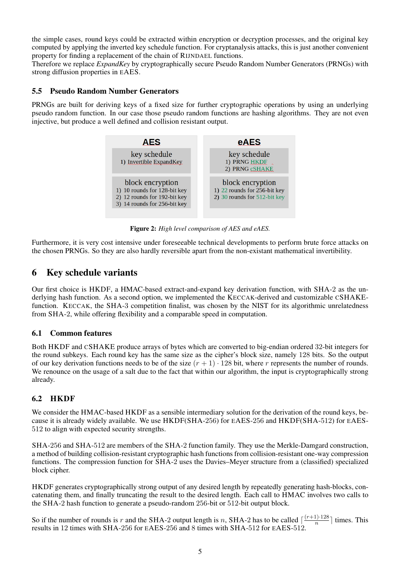the simple cases, round keys could be extracted within encryption or decryption processes, and the original key computed by applying the inverted key schedule function. For cryptanalysis attacks, this is just another convenient property for finding a replacement of the chain of RIJNDAEL functions.

Therefore we replace *ExpandKey* by cryptographically secure Pseudo Random Number Generators (PRNGs) with strong diffusion properties in EAES.

### 5.5 Pseudo Random Number Generators

PRNGs are built for deriving keys of a fixed size for further cryptographic operations by using an underlying pseudo random function. In our case those pseudo random functions are hashing algorithms. They are not even injective, but produce a well defined and collision resistant output.



Figure 2: *High level comparison of AES and eAES.*

Furthermore, it is very cost intensive under foreseeable technical developments to perform brute force attacks on the chosen PRNGs. So they are also hardly reversible apart from the non-existant mathematical invertibility.

# 6 Key schedule variants

Our first choice is HKDF, a HMAC-based extract-and-expand key derivation function, with SHA-2 as the underlying hash function. As a second option, we implemented the KECCAK-derived and customizable CSHAKEfunction. KECCAK, the SHA-3 competition finalist, was chosen by the NIST for its algorithmic unrelatedness from SHA-2, while offering flexibility and a comparable speed in computation.

### 6.1 Common features

Both HKDF and CSHAKE produce arrays of bytes which are converted to big-endian ordered 32-bit integers for the round subkeys. Each round key has the same size as the cipher's block size, namely 128 bits. So the output of our key derivation functions needs to be of the size  $(r + 1) \cdot 128$  bit, where r represents the number of rounds. We renounce on the usage of a salt due to the fact that within our algorithm, the input is cryptographically strong already.

## 6.2 HKDF

We consider the HMAC-based HKDF as a sensible intermediary solution for the derivation of the round keys, because it is already widely available. We use HKDF(SHA-256) for EAES-256 and HKDF(SHA-512) for EAES-512 to align with expected security strengths.

SHA-256 and SHA-512 are members of the SHA-2 function family. They use the Merkle-Damgard construction, a method of building collision-resistant cryptographic hash functions from collision-resistant one-way compression functions. The compression function for SHA-2 uses the Davies–Meyer structure from a (classified) specialized block cipher.

HKDF generates cryptographically strong output of any desired length by repeatedly generating hash-blocks, concatenating them, and finally truncating the result to the desired length. Each call to HMAC involves two calls to the SHA-2 hash function to generate a pseudo-random 256-bit or 512-bit output block.

So if the number of rounds is r and the SHA-2 output length is n, SHA-2 has to be called  $\lceil \frac{(r+1)\cdot 128}{n} \rceil$  $\frac{1}{n}$  times. This results in 12 times with SHA-256 for EAES-256 and 8 times with SHA-512 for EAES-512.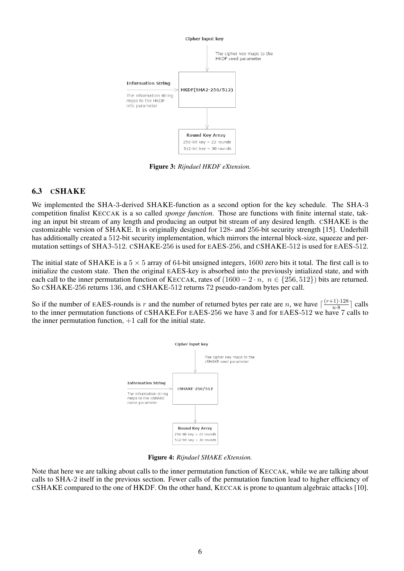

Figure 3: *Rijndael HKDF eXtension.*

# 6.3 CSHAKE

We implemented the SHA-3-derived SHAKE-function as a second option for the key schedule. The SHA-3 competition finalist KECCAK is a so called *sponge function*. Those are functions with finite internal state, taking an input bit stream of any length and producing an output bit stream of any desired length. CSHAKE is the customizable version of SHAKE. It is originally designed for 128- and 256-bit security strength [\[15\]](#page-11-1). Underhill has additionally created a 512-bit security implementation, which mirrors the internal block-size, squeeze and permutation settings of SHA3-512. CSHAKE-256 is used for EAES-256, and CSHAKE-512 is used for EAES-512.

The initial state of SHAKE is a  $5 \times 5$  array of 64-bit unsigned integers, 1600 zero bits it total. The first call is to initialize the custom state. Then the original EAES-key is absorbed into the previously intialized state, and with each call to the inner permutation function of KECCAK, rates of  $(1600 - 2 \cdot n, n \in \{256, 512\})$  bits are returned. So CSHAKE-256 returns 136, and CSHAKE-512 returns 72 pseudo-random bytes per call.

So if the number of EAES-rounds is r and the number of returned bytes per rate are n, we have  $\lceil \frac{(r+1)\cdot 128}{n\cdot 8} \rceil$  $\frac{-1+1}{n\cdot 8}$  calls to the inner permutation functions of CSHAKE.For EAES-256 we have 3 and for EAES-512 we have 7 calls to the inner permutation function,  $+1$  call for the initial state.



Figure 4: *Rijndael SHAKE eXtension.*

Note that here we are talking about calls to the inner permutation function of KECCAK, while we are talking about calls to SHA-2 itself in the previous section. Fewer calls of the permutation function lead to higher efficiency of CSHAKE compared to the one of HKDF. On the other hand, KECCAK is prone to quantum algebraic attacks [\[10\]](#page-10-9).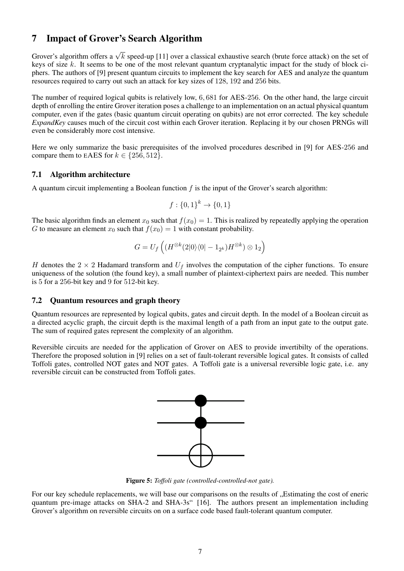# 7 Impact of Grover's Search Algorithm

Grover's algorithm offers a  $\sqrt{k}$  speed-up [\[11\]](#page-10-10) over a classical exhaustive search (brute force attack) on the set of keys of size k. It seems to be one of the most relevant quantum cryptanalytic impact for the study of block ciphers. The authors of [\[9\]](#page-10-8) present quantum circuits to implement the key search for AES and analyze the quantum resources required to carry out such an attack for key sizes of 128, 192 and 256 bits.

The number of required logical qubits is relatively low, 6, 681 for AES-256. On the other hand, the large circuit depth of enrolling the entire Grover iteration poses a challenge to an implementation on an actual physical quantum computer, even if the gates (basic quantum circuit operating on qubits) are not error corrected. The key schedule *ExpandKey* causes much of the circuit cost within each Grover iteration. Replacing it by our chosen PRNGs will even be considerably more cost intensive.

Here we only summarize the basic prerequisites of the involved procedures described in [\[9\]](#page-10-8) for AES-256 and compare them to EAES for  $k \in \{256, 512\}$ .

## 7.1 Algorithm architecture

A quantum circuit implementing a Boolean function  $f$  is the input of the Grover's search algorithm:

$$
f: \{0, 1\}^k \to \{0, 1\}
$$

The basic algorithm finds an element  $x_0$  such that  $f(x_0) = 1$ . This is realized by repeatedly applying the operation G to measure an element  $x_0$  such that  $f(x_0) = 1$  with constant probability.

$$
G=U_f\left((H^{\otimes k}(2|0\rangle\langle 0|-1_{2^k})H^{\otimes k})\otimes 1_2\right)
$$

H denotes the 2  $\times$  2 Hadamard transform and  $U_f$  involves the computation of the cipher functions. To ensure uniqueness of the solution (the found key), a small number of plaintext-ciphertext pairs are needed. This number is 5 for a 256-bit key and 9 for 512-bit key.

### 7.2 Quantum resources and graph theory

Quantum resources are represented by logical qubits, gates and circuit depth. In the model of a Boolean circuit as a directed acyclic graph, the circuit depth is the maximal length of a path from an input gate to the output gate. The sum of required gates represent the complexity of an algorithm.

Reversible circuits are needed for the application of Grover on AES to provide invertibilty of the operations. Therefore the proposed solution in [\[9\]](#page-10-8) relies on a set of fault-tolerant reversible logical gates. It consists of called Toffoli gates, controlled NOT gates and NOT gates. A Toffoli gate is a universal reversible logic gate, i.e. any reversible circuit can be constructed from Toffoli gates.



Figure 5: *Toffoli gate (controlled-controlled-not gate).*

For our key schedule replacements, we will base our comparisons on the results of . Estimating the cost of eneric quantum pre-image attacks on SHA-2 and SHA-3s" [\[16\]](#page-11-2). The authors present an implementation including Grover's algorithm on reversible circuits on on a surface code based fault-tolerant quantum computer.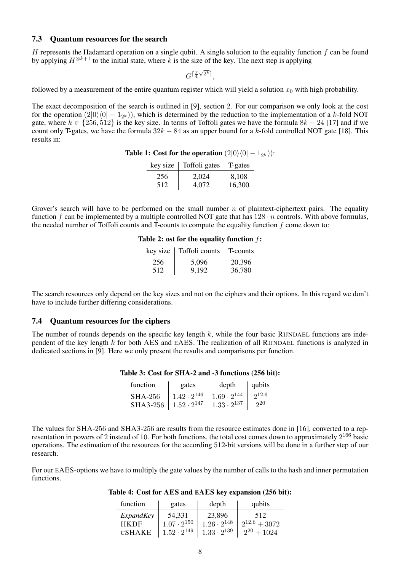#### 7.3 Quantum resources for the search

H represents the Hadamard operation on a single qubit. A single solution to the equality function  $f$  can be found by applying  $H^{\otimes k+1}$  to the initial state, where k is the size of the key. The next step is applying

> $G^{\lceil \frac{\pi}{4} \rceil}$  $\sqrt{2^k}$ <sup>1</sup>,

followed by a measurement of the entire quantum register which will yield a solution  $x_0$  with high probability.

The exact decomposition of the search is outlined in [\[9\]](#page-10-8), section 2. For our comparison we only look at the cost for the operation  $(2|0\rangle\langle0| - 1_{2^k})$ , which is determined by the reduction to the implementation of a k-fold NOT gate, where  $k \in \{256, 512\}$  is the key size. In terms of Toffoli gates we have the formula  $8k - 24$  [\[17\]](#page-11-3) and if we count only T-gates, we have the formula  $32k - 84$  as an upper bound for a k-fold controlled NOT gate [\[18\]](#page-11-4). This results in:

**Table 1:** Cost for the operation  $(2|0\rangle\langle0| - 1_{2^k})$ ):

| key size | Toffoli gates | $\vert$ T-gates |
|----------|---------------|-----------------|
| 256      | 2.024         | 8,108           |
| 512      | 4,072         | 16,300          |

Grover's search will have to be performed on the small number  $n$  of plaintext-ciphertext pairs. The equality function f can be implemented by a multiple controlled NOT gate that has  $128 \cdot n$  controls. With above formulas, the needed number of Toffoli counts and T-counts to compute the equality function  $f$  come down to:

| key size | Toffoli counts | T-counts |
|----------|----------------|----------|
| 256      | 5,096          | 20,396   |
| 512      | 9,192          | 36,780   |

|  |  |  |  | Table 2: ost for the equality function $f$ : |  |  |
|--|--|--|--|----------------------------------------------|--|--|
|--|--|--|--|----------------------------------------------|--|--|

The search resources only depend on the key sizes and not on the ciphers and their options. In this regard we don't have to include further differing considerations.

### 7.4 Quantum resources for the ciphers

The number of rounds depends on the specific key length  $k$ , while the four basic RIJNDAEL functions are independent of the key length k for both AES and EAES. The realization of all RIJNDAEL functions is analyzed in dedicated sections in [\[9\]](#page-10-8). Here we only present the results and comparisons per function.

| function                        | gates                                       | depth                | $\vert$ qubits |
|---------------------------------|---------------------------------------------|----------------------|----------------|
| SHA-256                         | $1.42 \cdot 2^{146}$   $1.69 \cdot 2^{144}$ |                      | 212.6          |
| SHA3-256   $1.52 \cdot 2^{147}$ |                                             | $1.33 \cdot 2^{137}$ | $20^{\circ}$   |

#### Table 3: Cost for SHA-2 and -3 functions (256 bit):

The values for SHA-256 and SHA3-256 are results from the resource estimates done in [\[16\]](#page-11-2), converted to a representation in powers of 2 instead of 10. For both functions, the total cost comes down to approximately  $2^{166}$  basic operations. The estimation of the resources for the according 512-bit versions will be done in a further step of our research.

For our EAES-options we have to multiply the gate values by the number of calls to the hash and inner permutation functions.

| function    | gates                | depth                | qubits            |
|-------------|----------------------|----------------------|-------------------|
| ExpandKey   | 54,331               | 23,896               | 512               |
| <b>HKDF</b> | $1.07 \cdot 2^{150}$ | $1.26 \cdot 2^{148}$ | $2^{12.6} + 3072$ |
| CSHAKE      | $1.52 \cdot 2^{149}$ | $1.33 \cdot 2^{139}$ | $2^{20} + 1024$   |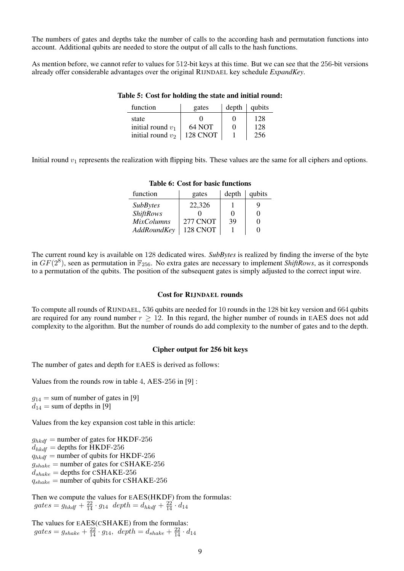The numbers of gates and depths take the number of calls to the according hash and permutation functions into account. Additional qubits are needed to store the output of all calls to the hash functions.

As mention before, we cannot refer to values for 512-bit keys at this time. But we can see that the 256-bit versions already offer considerable advantages over the original RIJNDAEL key schedule *ExpandKey*.

#### Table 5: Cost for holding the state and initial round:

| function            | gates    | depth | qubits |
|---------------------|----------|-------|--------|
| state               |          |       | 128    |
| initial round $v_1$ | 64 NOT   | 0     | 128    |
| initial round $v_2$ | 128 CNOT |       | 256    |

Initial round  $v_1$  represents the realization with flipping bits. These values are the same for all ciphers and options.

| function          | gates    | depth | qubits |
|-------------------|----------|-------|--------|
| <i>SubBytes</i>   | 22,326   |       | 9      |
| <b>ShiftRows</b>  |          | 0     | 0      |
| <b>MixColumns</b> | 277 CNOT | 39    | 0      |
| AddRoundKey       | 128 CNOT |       |        |

#### Table 6: Cost for basic functions

The current round key is available on 128 dedicated wires. *SubBytes* is realized by finding the inverse of the byte in  $GF(2^8)$ , seen as permutation in  $\mathbb{F}_{256}$ . No extra gates are necessary to implement *ShiftRows*, as it corresponds to a permutation of the qubits. The position of the subsequent gates is simply adjusted to the correct input wire.

#### Cost for RIJNDAEL rounds

To compute all rounds of RIJNDAEL, 536 qubits are needed for 10 rounds in the 128 bit key version and 664 qubits are required for any round number  $r > 12$ . In this regard, the higher number of rounds in EAES does not add complexity to the algorithm. But the number of rounds do add complexity to the number of gates and to the depth.

#### Cipher output for 256 bit keys

The number of gates and depth for EAES is derived as follows:

Values from the rounds row in table 4, AES-256 in [\[9\]](#page-10-8) :

 $g_{14}$  = sum of number of gates in [\[9\]](#page-10-8)  $d_{14}$  = sum of depths in [\[9\]](#page-10-8)

Values from the key expansion cost table in this article:

 $g_{hkdf}$  = number of gates for HKDF-256

 $d_{hkdf}$  = depths for HKDF-256

 $q_{hkdf}$  = number of qubits for HKDF-256

 $g_{shake}$  = number of gates for CSHAKE-256

 $d_{shake} =$  depths for CSHAKE-256

 $q_{shake}$  = number of qubits for CSHAKE-256

Then we compute the values for EAES(HKDF) from the formulas:  $gates = g_{hkdf} + \frac{22}{14} \cdot g_{14}$   $\; depth = d_{hkdf} + \frac{22}{14} \cdot d_{14}$ 

The values for EAES(CSHAKE) from the formulas:  $gates = g_{shake} + \frac{22}{14} \cdot g_{14}, \, \, depth = d_{shake} + \frac{22}{14} \cdot d_{14}$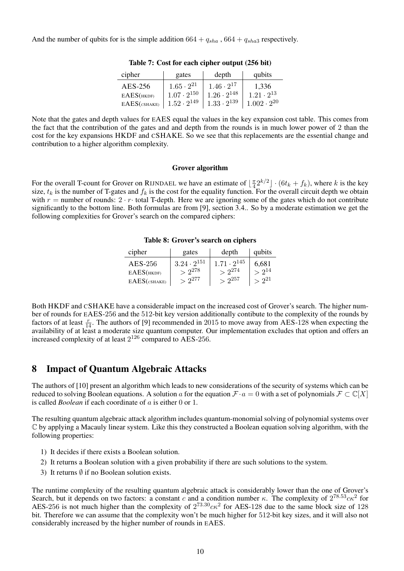And the number of qubits for is the simple addition  $664 + q_{sha}$ ,  $664 + q_{sha}$  respectively.

| cipher                       | qubits                       | gates                                     |  |
|------------------------------|------------------------------|-------------------------------------------|--|
| AES-256<br>$EAES$ ( $HKDF$ ) | 1,336<br>$1.21 \cdot 2^{13}$ | $1.65\cdot2^{21}$<br>$1.07 \cdot 2^{150}$ |  |
| $EAES$ (CSHAKE)              | $1.002 \cdot 2^{20}$         | $1.52 \cdot 2^{149}$                      |  |

Table 7: Cost for each cipher output (256 bit)

Note that the gates and depth values for EAES equal the values in the key expansion cost table. This comes from the fact that the contribution of the gates and and depth from the rounds is in much lower power of 2 than the cost for the key expansions HKDF and CSHAKE. So we see that this replacements are the essential change and contribution to a higher algorithm complexity.

#### Grover algorithm

For the overall T-count for Grover on RIJNDAEL we have an estimate of  $\lfloor \frac{\pi}{4} \rfloor$  $\frac{\pi}{4} 2^{k/2}$   $\cdot$  (6t<sub>k</sub> + f<sub>k</sub>), where k is the key size,  $t_k$  is the number of T-gates and  $f_k$  is the cost for the equality function. For the overall circuit depth we obtain with  $r =$  number of rounds:  $2 \cdot r \cdot$  total T-depth. Here we are ignoring some of the gates which do not contribute significantly to the bottom line. Both formulas are from [\[9\]](#page-10-8), section 3.4.. So by a moderate estimation we get the following complexities for Grover's search on the compared ciphers:

Table 8: Grover's search on ciphers

| cipher          | gates                | depth                | qubits        |
|-----------------|----------------------|----------------------|---------------|
| $AES-256$       | $3.24 \cdot 2^{151}$ | $1.71 \cdot 2^{145}$ | 6,681         |
| $EAES$ (HKDF)   | $> 2^{278}$          | $> 2^{274}$          | $\sim 2^{14}$ |
| $EAES$ (CSHAKE) | $> 2^{277}$          | $> 2^{257}$          | $-2^{21}$     |

Both HKDF and CSHAKE have a considerable impact on the increased cost of Grover's search. The higher number of rounds for EAES-256 and the 512-bit key version additionally contibute to the complexity of the rounds by factors of at least  $\frac{r}{14}$ . The authors of [\[9\]](#page-10-8) recommended in 2015 to move away from AES-128 when expecting the availability of at least a moderate size quantum computer. Our implementation excludes that option and offers an increased complexity of at least  $2^{126}$  compared to AES-256.

# 8 Impact of Quantum Algebraic Attacks

The authors of [\[10\]](#page-10-9) present an algorithm which leads to new considerations of the security of systems which can be reduced to solving Boolean equations. A solution a for the equation  $\mathcal{F} \cdot a = 0$  with a set of polynomials  $\mathcal{F} \subset \mathbb{C}[X]$ is called *Boolean* if each coordinate of a is either 0 or 1.

The resulting quantum algebraic attack algorithm includes quantum-monomial solving of polynomial systems over C by applying a Macauly linear system. Like this they constructed a Boolean equation solving algorithm, with the following properties:

- 1) It decides if there exists a Boolean solution.
- 2) It returns a Boolean solution with a given probability if there are such solutions to the system.
- 3) It returns  $\emptyset$  if no Boolean solution exists.

The runtime complexity of the resulting quantum algebraic attack is considerably lower than the one of Grover's Search, but it depends on two factors: a constant c and a condition number  $\kappa$ . The complexity of  $2^{78.53}c\kappa^2$  for AES-256 is not much higher than the complexity of  $2^{73.30}c\kappa^2$  for AES-128 due to the same block size of 128 bit. Therefore we can assume that the complexity won't be much higher for 512-bit key sizes, and it will also not considerably increased by the higher number of rounds in EAES.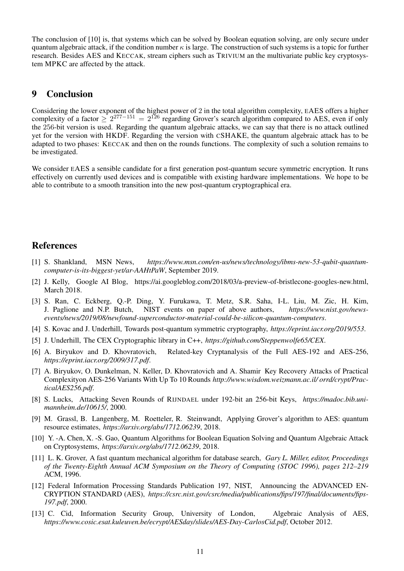The conclusion of [\[10\]](#page-10-9) is, that systems which can be solved by Boolean equation solving, are only secure under quantum algebraic attack, if the condition number  $\kappa$  is large. The construction of such systems is a topic for further research. Besides AES and KECCAK, stream ciphers such as TRIVIUM an the multivariate public key cryptosystem MPKC are affected by the attack.

# 9 Conclusion

Considering the lower exponent of the highest power of 2 in the total algorithm complexity, EAES offers a higher complexity of a factor  $\geq 2^{277-151} = 2^{126}$  regarding Grover's search algorithm compared to AES, even if only the 256-bit version is used. Regarding the quantum algebraic attacks, we can say that there is no attack outlined yet for the version with HKDF. Regarding the version with CSHAKE, the quantum algebraic attack has to be adapted to two phases: KECCAK and then on the rounds functions. The complexity of such a solution remains to be investigated.

We consider EAES a sensible candidate for a first generation post-quantum secure symmetric encryption. It runs effectively on currently used devices and is compatible with existing hardware implementations. We hope to be able to contribute to a smooth transition into the new post-quantum cryptographical era.

# References

- <span id="page-10-0"></span>[1] S. Shankland, MSN News, *https://www.msn.com/en-us/news/technology/ibms-new-53-qubit-quantumcomputer-is-its-biggest-yet/ar-AAHtPaW*, September 2019.
- <span id="page-10-1"></span>[2] J. Kelly, Google AI Blog, https://ai.googleblog.com/2018/03/a-preview-of-bristlecone-googles-new.html, March 2018.
- <span id="page-10-2"></span>[3] S. Ran, C. Eckberg, Q.-P. Ding, Y. Furukawa, T. Metz, S.R. Saha, I-L. Liu, M. Zic, H. Kim, J. Paglione and N.P. Butch, NIST events on paper of above authors, *https://www.nist.gov/newsevents/news/2019/08/newfound-superconductor-material-could-be-silicon-quantum-computers*.
- <span id="page-10-3"></span>[4] S. Kovac and J. Underhill, Towards post-quantum symmetric cryptography, *https://eprint.iacr.org/2019/553*.
- <span id="page-10-4"></span>[5] J. Underhill, The CEX Cryptographic library in C++, *https://github.com/Steppenwolfe65/CEX*.
- <span id="page-10-5"></span>[6] A. Biryukov and D. Khovratovich, Related-key Cryptanalysis of the Full AES-192 and AES-256, *https://eprint.iacr.org/2009/317.pdf*.
- <span id="page-10-6"></span>[7] A. Biryukov, O. Dunkelman, N. Keller, D. Khovratovich and A. Shamir Key Recovery Attacks of Practical Complexityon AES-256 Variants With Up To 10 Rounds *http://www.wisdom.weizmann.ac.il/ orrd/crypt/PracticalAES256.pdf*.
- <span id="page-10-7"></span>[8] S. Lucks, Attacking Seven Rounds of RIJNDAEL under 192-bit an 256-bit Keys, *https://madoc.bib.unimannheim.de/10615/*, 2000.
- <span id="page-10-8"></span>[9] M. Grassl, B. Langenberg, M. Roetteler, R. Steinwandt, Applying Grover's algorithm to AES: quantum resource estimates, *https://arxiv.org/abs/1712.06239*, 2018.
- <span id="page-10-9"></span>[10] Y. -A. Chen, X. -S. Gao, Quantum Algorithms for Boolean Equation Solving and Quantum Algebraic Attack on Cryptosystems, *https://arxiv.org/abs/1712.06239*, 2018.
- <span id="page-10-10"></span>[11] L. K. Grover, A fast quantum mechanical algorithm for database search, *Gary L. Miller, editor, Proceedings of the Twenty-Eighth Annual ACM Symposium on the Theory of Computing (STOC 1996), pages 212–219* ACM, 1996.
- <span id="page-10-11"></span>[12] Federal Information Processing Standards Publication 197, NIST, Announcing the ADVANCED EN-CRYPTION STANDARD (AES), *https://csrc.nist.gov/csrc/media/publications/fips/197/final/documents/fips-197.pdf*, 2000.
- <span id="page-10-12"></span>[13] C. Cid, Information Security Group, University of London, Algebraic Analysis of AES, *https://www.cosic.esat.kuleuven.be/ecrypt/AESday/slides/AES-Day-CarlosCid.pdf*, October 2012.